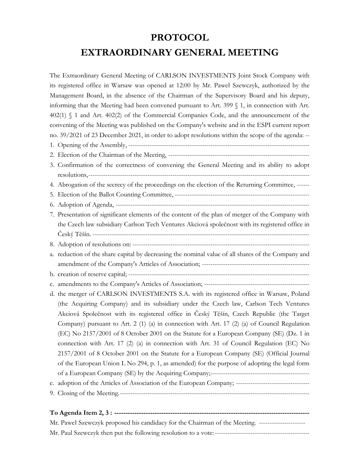# **PROTOCOL EXTRAORDINARY GENERAL MEETING**

The Extraordinary General Meeting of CARLSON INVESTMENTS Joint Stock Company with its registered office in Warsaw was opened at 12:00 by Mr. Paweł Szewczyk, authorized by the Management Board, in the absence of the Chairman of the Supervisory Board and his deputy, informing that the Meeting had been convened pursuant to Art. 399 § 1, in connection with Art. 402(1) § 1 and Art. 402(2) of the Commercial Companies Code, and the announcement of the convening of the Meeting was published on the Company's website and in the ESPI current report no. 39/2021 of 23 December 2021, in order to adopt resolutions within the scope of the agenda: -- 1. Opening of the Assembly, -------------------------------------------------------------------------------------- 2. Election of the Chairman of the Meeting, ------------------------------------------------------------------- 3. Confirmation of the correctness of convening the General Meeting and its ability to adopt resolutions,--------------------------------------------------------------------------------------------------------- 4. Abrogation of the secrecy of the proceedings on the election of the Returning Committee, ------ 5. Election of the Ballot Counting Committee, ---------------------------------------------------------------- 6. Adoption of Agenda, -------------------------------------------------------------------------------------------- 7. Presentation of significant elements of the content of the plan of merger of the Company with the Czech law subsidiary Carlson Tech Ventures Akciová společnost with its registered office in Český Těšín. ------------------------------------------------------------------------------------------------------- 8. Adoption of resolutions on: ----------------------------------------------------------------------------------- a. reduction of the share capital by decreasing the nominal value of all shares of the Company and amendment of the Company's Articles of Association; -------------------------------------------------- b. creation of reserve capital; ------------------------------------------------------------------------------------- c. amendments to the Company's Articles of Association; ------------------------------------------------- d. the merger of CARLSON INVESTMENTS S.A. with its registered office in Warsaw, Poland (the Acquiring Company) and its subsidiary under the Czech law, Carlson Tech Ventures Akciová Společnost with its registered office in Český Těšín, Czech Republic (the Target Company) pursuant to Art. 2 (1) (a) in connection with Art. 17 (2) (a) of Council Regulation (EC) No 2157/2001 of 8 October 2001 on the Statute for a European Company (SE) (Dz. 1 in connection with Art. 17 (2) (a) in connection with Art. 31 of Council Regulation (EC) No 2157/2001 of 8 October 2001 on the Statute for a European Company (SE) (Official Journal of the European Union L No 294, p. 1, as amended) for the purpose of adopting the legal form of a European Company (SE) by the Acquiring Company;---------------------------------------------- e. adoption of the Articles of Association of the European Company; ----------------------------------- 9. Closing of the Meeting.------------------------------------------------------------------------------------------ **To Agenda Item 2, 3 : ---------------------------------------------------------------------------------------** Mr. Paweł Szewczyk proposed his candidacy for the Chairman of the Meeting. -----------------------------------Mr. Paul Szewczyk then put the following resolution to a vote:---------------------------------------------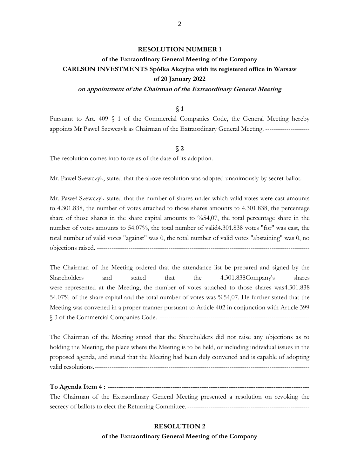#### **RESOLUTION NUMBER 1**

# **of the Extraordinary General Meeting of the Company CARLSON INVESTMENTS Spółka Akcyjna with its registered office in Warsaw of 20 January 2022**

#### **on appointment of the Chairman of the Extraordinary General Meeting**

#### **§ 1**

Pursuant to Art. 409 § 1 of the Commercial Companies Code, the General Meeting hereby appoints Mr Paweł Szewczyk as Chairman of the Extraordinary General Meeting. ---------------------

#### **§ 2**

The resolution comes into force as of the date of its adoption. ---------------------------------------------

Mr. Pawel Szewczyk, stated that the above resolution was adopted unanimously by secret ballot. --

Mr. Paweł Szewczyk stated that the number of shares under which valid votes were cast amounts to 4.301.838, the number of votes attached to those shares amounts to 4.301.838, the percentage share of those shares in the share capital amounts to %54,07, the total percentage share in the number of votes amounts to 54.07%, the total number of valid4.301.838 votes "for" was cast, the total number of valid votes "against" was 0, the total number of valid votes "abstaining" was 0, no objections raised. -----------------------------------------------------------------------------------------------------

The Chairman of the Meeting ordered that the attendance list be prepared and signed by the Shareholders and stated that the 4.301.838Company's shares were represented at the Meeting, the number of votes attached to those shares was4.301.838 54.07% of the share capital and the total number of votes was %54,07. He further stated that the Meeting was convened in a proper manner pursuant to Article 402 in conjunction with Article 399 § 3 of the Commercial Companies Code. -----------------------------------------------------------------------

The Chairman of the Meeting stated that the Shareholders did not raise any objections as to holding the Meeting, the place where the Meeting is to be held, or including individual issues in the proposed agenda, and stated that the Meeting had been duly convened and is capable of adopting valid resolutions.------------------------------------------------------------------------------------------------------

**To Agenda Item 4 : ------------------------------------------------------------------------------------------** The Chairman of the Extraordinary General Meeting presented a resolution on revoking the secrecy of ballots to elect the Returning Committee. ----------------------------------------------------------

> **RESOLUTION 2 of the Extraordinary General Meeting of the Company**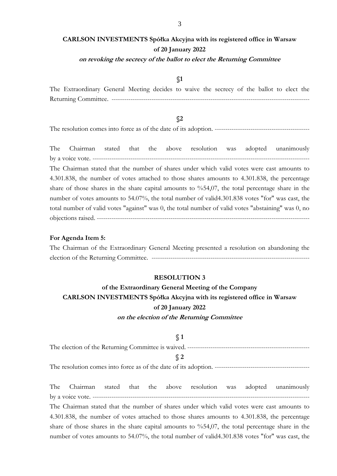# **CARLSON INVESTMENTS Spółka Akcyjna with its registered office in Warsaw of 20 January 2022**

### **on revoking the secrecy of the ballot to elect the Returning Committee**

# **§1**

The Extraordinary General Meeting decides to waive the secrecy of the ballot to elect the Returning Committee. ----------------------------------------------------------------------------------------------

# **§2**

The resolution comes into force as of the date of its adoption. ---------------------------------------------

The Chairman stated that the above resolution was adopted unanimously by a voice vote. ------------------------------------------------------------------------------------------------------- The Chairman stated that the number of shares under which valid votes were cast amounts to 4.301.838, the number of votes attached to those shares amounts to 4.301.838, the percentage share of those shares in the share capital amounts to %54,07, the total percentage share in the number of votes amounts to 54.07%, the total number of valid4.301.838 votes "for" was cast, the total number of valid votes "against" was 0, the total number of valid votes "abstaining" was 0, no objections raised. -----------------------------------------------------------------------------------------------------

#### **For Agenda Item 5:**

The Chairman of the Extraordinary General Meeting presented a resolution on abandoning the election of the Returning Committee. ---------------------------------------------------------------------------

#### **RESOLUTION 3**

# **of the Extraordinary General Meeting of the Company CARLSON INVESTMENTS Spółka Akcyjna with its registered office in Warsaw of 20 January 2022 on the election of the Returning Committee**

**§ 1** The election of the Returning Committee is waived. ---------------------------------------------------------- **§ 2**

The resolution comes into force as of the date of its adoption. ---------------------------------------------

The Chairman stated that the above resolution was adopted unanimously by a voice vote. ------------------------------------------------------------------------------------------------------- The Chairman stated that the number of shares under which valid votes were cast amounts to 4.301.838, the number of votes attached to those shares amounts to 4.301.838, the percentage share of those shares in the share capital amounts to %54,07, the total percentage share in the number of votes amounts to 54.07%, the total number of valid4.301.838 votes "for" was cast, the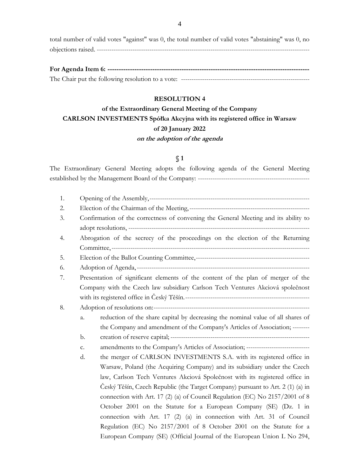total number of valid votes "against" was 0, the total number of valid votes "abstaining" was 0, no objections raised. -----------------------------------------------------------------------------------------------------

# **RESOLUTION 4**

# **of the Extraordinary General Meeting of the Company CARLSON INVESTMENTS Spółka Akcyjna with its registered office in Warsaw of 20 January 2022 on the adoption of the agenda**

# **§ 1**

The Extraordinary General Meeting adopts the following agenda of the General Meeting established by the Management Board of the Company: -----------------------------------------------------

| 1. |    |                                                                                     |
|----|----|-------------------------------------------------------------------------------------|
| 2. |    |                                                                                     |
| 3. |    | Confirmation of the correctness of convening the General Meeting and its ability to |
|    |    |                                                                                     |
| 4. |    | Abrogation of the secrecy of the proceedings on the election of the Returning       |
|    |    |                                                                                     |
| 5. |    |                                                                                     |
| 6. |    |                                                                                     |
| 7. |    | Presentation of significant elements of the content of the plan of merger of the    |
|    |    | Company with the Czech law subsidiary Carlson Tech Ventures Akciová společnost      |
|    |    |                                                                                     |
| 8. |    |                                                                                     |
|    | a. | reduction of the share capital by decreasing the nominal value of all shares of     |
|    |    | the Company and amendment of the Company's Articles of Association; --------        |
|    | b. |                                                                                     |
|    | c. | amendments to the Company's Articles of Association; ------------------------------ |
|    | d. | the merger of CARLSON INVESTMENTS S.A. with its registered office in                |
|    |    | Warsaw, Poland (the Acquiring Company) and its subsidiary under the Czech           |
|    |    | law, Carlson Tech Ventures Akciová Společnost with its registered office in         |
|    |    | Český Těšín, Czech Republic (the Target Company) pursuant to Art. 2 (1) (a) in      |
|    |    | connection with Art. 17 (2) (a) of Council Regulation (EC) No 2157/2001 of 8        |
|    |    | October 2001 on the Statute for a European Company (SE) (Dz. 1 in                   |
|    |    | connection with Art. 17 (2) (a) in connection with Art. 31 of Council               |
|    |    | Regulation (EC) No 2157/2001 of 8 October 2001 on the Statute for a                 |
|    |    | European Company (SE) (Official Journal of the European Union L No 294,             |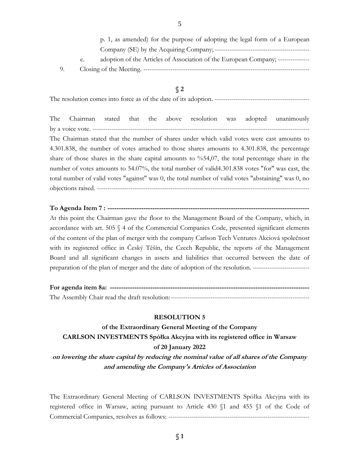|    | p. 1, as amended) for the purpose of adopting the legal form of a European       |
|----|----------------------------------------------------------------------------------|
|    |                                                                                  |
| e. | adoption of the Articles of Association of the European Company; --------------- |
|    | Closing of the Meeting. -----                                                    |

The resolution comes into force as of the date of its adoption. ---------------------------------------------

The Chairman stated that the above resolution was adopted unanimously by a voice vote. ------------------------------------------------------------------------------------------------------- The Chairman stated that the number of shares under which valid votes were cast amounts to 4.301.838, the number of votes attached to those shares amounts to 4.301.838, the percentage share of those shares in the share capital amounts to  $\%54,07$ , the total percentage share in the number of votes amounts to 54.07%, the total number of valid4.301.838 votes "for" was cast, the total number of valid votes "against" was 0, the total number of valid votes "abstaining" was 0, no objections raised. -----------------------------------------------------------------------------------------------------

**To Agenda Item 7 : ------------------------------------------------------------------------------------------** At this point the Chairman gave the floor to the Management Board of the Company, which, in accordance with art. 505 § 4 of the Commercial Companies Code, presented significant elements of the content of the plan of merger with the company Carlson Tech Ventures Akciová společnost with its registered office in Český Těšín, the Czech Republic, the reports of the Management Board and all significant changes in assets and liabilities that occurred between the date of preparation of the plan of merger and the date of adoption of the resolution. ---------------------------

**For agenda item 8a: -----------------------------------------------------------------------------------------** The Assembly Chair read the draft resolution:------------------------------------------------------------------

#### **RESOLUTION 5**

**of the Extraordinary General Meeting of the Company CARLSON INVESTMENTS Spółka Akcyjna with its registered office in Warsaw of 20 January 2022 on lowering the share capital by reducing the nominal value of all shares of the Company and amending the Company's Articles of Association**

The Extraordinary General Meeting of CARLSON INVESTMENTS Spółka Akcyjna with its registered office in Warsaw, acting pursuant to Article 430 §1 and 455 §1 of the Code of Commercial Companies, resolves as follows: -------------------------------------------------------------------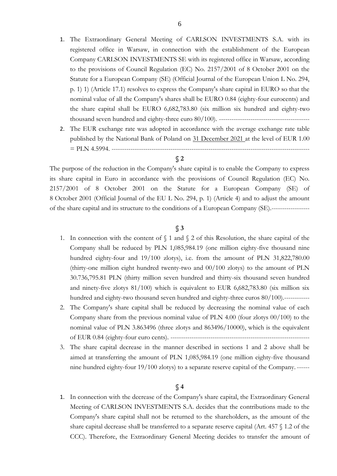- 1. The Extraordinary General Meeting of CARLSON INVESTMENTS S.A. with its registered office in Warsaw, in connection with the establishment of the European Company CARLSON INVESTMENTS SE with its registered office in Warsaw, according to the provisions of Council Regulation (EC) No. 2157/2001 of 8 October 2001 on the Statute for a European Company (SE) (Official Journal of the European Union L No. 294, p. 1) 1) (Article 17.1) resolves to express the Company's share capital in EURO so that the nominal value of all the Company's shares shall be EURO 0.84 (eighty-four eurocents) and the share capital shall be EURO 6,682,783.80 (six million six hundred and eighty-two thousand seven hundred and eighty-three euro 80/100). ----------------------------------
- 2. The EUR exchange rate was adopted in accordance with the average exchange rate table published by the National Bank of Poland on 31 December 2021 at the level of EUR 1.00 = PLN 4.5994. ----------------------------------------------------------------------------------------------

The purpose of the reduction in the Company's share capital is to enable the Company to express its share capital in Euro in accordance with the provisions of Council Regulation (EC) No. 2157/2001 of 8 October 2001 on the Statute for a European Company (SE) of 8 October 2001 (Official Journal of the EU L No. 294, p. 1) (Article 4) and to adjust the amount of the share capital and its structure to the conditions of a European Company (SE).------------------

### **§ 3**

- 1. In connection with the content of  $\int$  1 and  $\int$  2 of this Resolution, the share capital of the Company shall be reduced by PLN 1,085,984.19 (one million eighty-five thousand nine hundred eighty-four and 19/100 zlotys), i.e. from the amount of PLN 31,822,780.00 (thirty-one million eight hundred twenty-two and 00/100 zlotys) to the amount of PLN 30.736,795.81 PLN (thirty million seven hundred and thirty-six thousand seven hundred and ninety-five zlotys 81/100) which is equivalent to EUR 6,682,783.80 (six million six hundred and eighty-two thousand seven hundred and eighty-three euros 80/100).------------
- 2. The Company's share capital shall be reduced by decreasing the nominal value of each Company share from the previous nominal value of PLN 4.00 (four zlotys 00/100) to the nominal value of PLN 3.863496 (three zlotys and 863496/10000), which is the equivalent of EUR 0.84 (eighty-four euro cents). ------------------------------------------------------------------
- 3. The share capital decrease in the manner described in sections 1 and 2 above shall be aimed at transferring the amount of PLN 1,085,984.19 (one million eighty-five thousand nine hundred eighty-four 19/100 zlotys) to a separate reserve capital of the Company. ------

# **§ 4**

1. In connection with the decrease of the Company's share capital, the Extraordinary General Meeting of CARLSON INVESTMENTS S.A. decides that the contributions made to the Company's share capital shall not be returned to the shareholders, as the amount of the share capital decrease shall be transferred to a separate reserve capital (Art. 457 § 1.2 of the CCC). Therefore, the Extraordinary General Meeting decides to transfer the amount of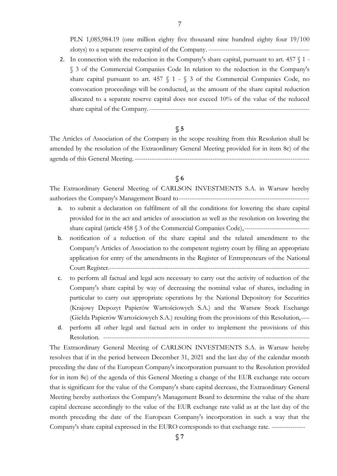PLN 1,085,984.19 (one million eighty five thousand nine hundred eighty four 19/100 zlotys) to a separate reserve capital of the Company. ------------------------------------------------

2. In connection with the reduction in the Company's share capital, pursuant to art.  $457 \, \text{N}$  1 -§ 3 of the Commercial Companies Code In relation to the reduction in the Company's share capital pursuant to art. 457 § 1 - § 3 of the Commercial Companies Code, no convocation proceedings will be conducted, as the amount of the share capital reduction allocated to a separate reserve capital does not exceed 10% of the value of the reduced share capital of the Company.----------------------------------------------------------------------------

## **§ 5**

The Articles of Association of the Company in the scope resulting from this Resolution shall be amended by the resolution of the Extraordinary General Meeting provided for in item 8c) of the agenda of this General Meeting. -----------------------------------------------------------------------------------

# **§ 6**

The Extraordinary General Meeting of CARLSON INVESTMENTS S.A. in Warsaw hereby authorizes the Company's Management Board to--------------------------------------------------------------

- a. to submit a declaration on fulfilment of all the conditions for lowering the share capital provided for in the act and articles of association as well as the resolution on lowering the share capital (article 458 § 3 of the Commercial Companies Code),-------------------------------
- b. notification of a reduction of the share capital and the related amendment to the Company's Articles of Association to the competent registry court by filing an appropriate application for entry of the amendments in the Register of Entrepreneurs of the National Court Register.-----------------------------------------------------------------------------------------------
- c. to perform all factual and legal acts necessary to carry out the activity of reduction of the Company's share capital by way of decreasing the nominal value of shares, including in particular to carry out appropriate operations by the National Depository for Securities (Krajowy Depozyt Papierów Wartościowych S.A.) and the Warsaw Stock Exchange (Giełda Papierów Wartościowych S.A.) resulting from the provisions of this Resolution,----
- d. perform all other legal and factual acts in order to implement the provisions of this Resolution. --------------------------------------------------------------------------------------------------

The Extraordinary General Meeting of CARLSON INVESTMENTS S.A. in Warsaw hereby resolves that if in the period between December 31, 2021 and the last day of the calendar month preceding the date of the European Company's incorporation pursuant to the Resolution provided for in item 8e) of the agenda of this General Meeting a change of the EUR exchange rate occurs that is significant for the value of the Company's share capital decrease, the Extraordinary General Meeting hereby authorizes the Company's Management Board to determine the value of the share capital decrease accordingly to the value of the EUR exchange rate valid as at the last day of the month preceding the date of the European Company's incorporation in such a way that the Company's share capital expressed in the EURO corresponds to that exchange rate. ----------------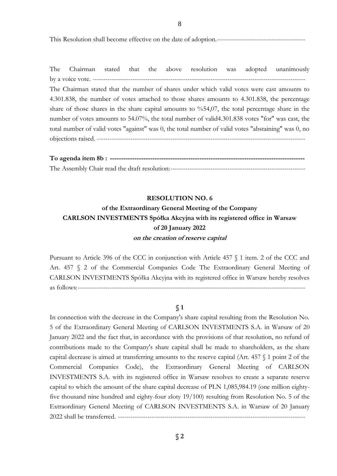This Resolution shall become effective on the date of adoption.------------------------------------------

The Chairman stated that the above resolution was adopted unanimously by a voice vote. ----------------------------------------------------------------------------------------------------- The Chairman stated that the number of shares under which valid votes were cast amounts to 4.301.838, the number of votes attached to those shares amounts to 4.301.838, the percentage share of those shares in the share capital amounts to %54,07, the total percentage share in the number of votes amounts to 54.07%, the total number of valid4.301.838 votes "for" was cast, the total number of valid votes "against" was 0, the total number of valid votes "abstaining" was 0, no objections raised. ---------------------------------------------------------------------------------------------------

**To agenda item 8b : ---------------------------------------------------------------------------------------** The Assembly Chair read the draft resolution:----------------------------------------------------------------

#### **RESOLUTION NO. 6**

# **of the Extraordinary General Meeting of the Company CARLSON INVESTMENTS Spółka Akcyjna with its registered office in Warsaw of 20 January 2022 on the creation of reserve capital**

Pursuant to Article 396 of the CCC in conjunction with Article 457 § 1 item. 2 of the CCC and Art. 457 § 2 of the Commercial Companies Code The Extraordinary General Meeting of CARLSON INVESTMENTS Spółka Akcyjna with its registered office in Warsaw hereby resolves as follows:------------------------------------------------------------------------------------------------------------

## **§ 1**

In connection with the decrease in the Company's share capital resulting from the Resolution No. 5 of the Extraordinary General Meeting of CARLSON INVESTMENTS S.A. in Warsaw of 20 January 2022 and the fact that, in accordance with the provisions of that resolution, no refund of contributions made to the Company's share capital shall be made to shareholders, as the share capital decrease is aimed at transferring amounts to the reserve capital (Art. 457 § 1 point 2 of the Commercial Companies Code), the Extraordinary General Meeting of CARLSON INVESTMENTS S.A. with its registered office in Warsaw resolves to create a separate reserve capital to which the amount of the share capital decrease of PLN 1,085,984.19 (one million eightyfive thousand nine hundred and eighty-four zloty 19/100) resulting from Resolution No. 5 of the Extraordinary General Meeting of CARLSON INVESTMENTS S.A. in Warsaw of 20 January 2022 shall be transferred. -----------------------------------------------------------------------------------------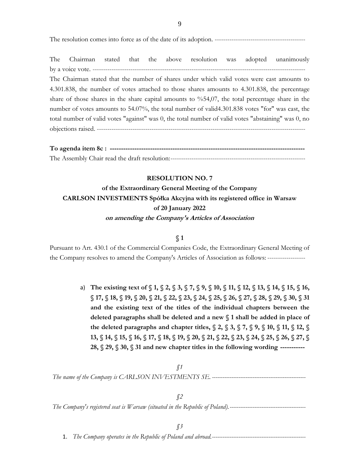The resolution comes into force as of the date of its adoption. -------------------------------------------

The Chairman stated that the above resolution was adopted unanimously by a voice vote. --------The Chairman stated that the number of shares under which valid votes were cast amounts to 4.301.838, the number of votes attached to those shares amounts to 4.301.838, the percentage share of those shares in the share capital amounts to %54,07, the total percentage share in the number of votes amounts to 54.07%, the total number of valid4.301.838 votes "for" was cast, the total number of valid votes "against" was 0, the total number of valid votes "abstaining" was 0, no objections raised. ---------------------------------------------------------------------------------------------------

| To agenda item 8c: |
|--------------------|
|                    |

# **RESOLUTION NO. 7**

**of the Extraordinary General Meeting of the Company CARLSON INVESTMENTS Spółka Akcyjna with its registered office in Warsaw of 20 January 2022 on amending the Company's Articles of Association**

### **§ 1**

Pursuant to Art. 430.1 of the Commercial Companies Code, the Extraordinary General Meeting of the Company resolves to amend the Company's Articles of Association as follows: ------------------

> a) **The existing text of § 1, § 2, § 3, § 7, § 9, § 10, § 11, § 12, § 13, § 14, § 15, § 16, § 17, § 18, § 19, § 20, § 21, § 22, § 23, § 24, § 25, § 26, § 27, § 28, § 29, § 30, § 31 and the existing text of the titles of the individual chapters between the deleted paragraphs shall be deleted and a new § 1 shall be added in place of the deleted paragraphs and chapter titles, § 2, § 3, § 7, § 9, § 10, § 11, § 12, § 13, § 14, § 15, § 16, § 17, § 18, § 19, § 20, § 21, § 22, § 23, § 24, § 25, § 26, § 27, § 28, § 29, § 30, § 31 and new chapter titles in the following wording -----------**

# *§1 The name of the Company is CARLSON INVESTMENTS SE. -----------------------------------------------------*

*§2 The Company's registered seat is Warsaw (situated in the Republic of Poland).-------------------------------------------*

1. *The Company operates in the Republic of Poland and abroad.-----------------------------------------------------*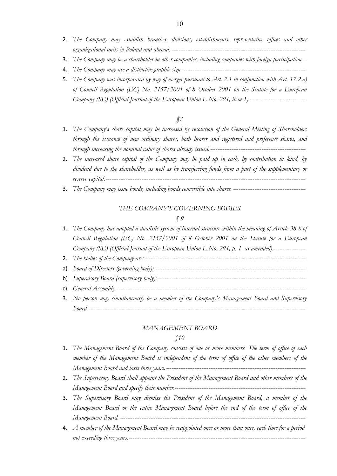- 2. *The Company may establish branches, divisions, establishments, representative offices and other organizational units in Poland and abroad. ----------------------------------------------------------------------------*
- 3. *The Company may be a shareholder in other companies, including companies with foreign participation.-*
- 4. *The Company may use a distinctive graphic sign. ---------------------------------------------------------------------*
- 5. *The Company was incorporated by way of merger pursuant to Art. 2.1 in conjunction with Art. 17.2.a) of Council Regulation (EC) No. 2157/2001 of 8 October 2001 on the Statute for a European Company (SE) (Official Journal of the European Union L No. 294, item 1)--------------------------------*

- 1. *The Company's share capital may be increased by resolution of the General Meeting of Shareholders through the issuance of new ordinary shares, both bearer and registered and preference shares, and through increasing the nominal value of shares already issued.------------------------------------------------------*
- 2. *The increased share capital of the Company may be paid up in cash, by contribution in kind, by dividend due to the shareholder, as well as by transferring funds from a part of the supplementary or reserve capital.-----------------------------------------------------------------------------------------------------------------*
- 3. *The Company may issue bonds, including bonds convertible into shares. -----------------------------------------*

## *THE COMPANY'S GOVERNING BODIES*

#### *§ 9*

- 1. *The Company has adopted a dualistic system of internal structure within the meaning of Article 38 b of Council Regulation (EC) No. 2157/2001 of 8 October 2001 on the Statute for a European Company (SE) (Official Journal of the European Union L No. 294, p. 1, as amended).------------------*
- 2. *The bodies of the Company are: -------------------------------------------------------------------------------------------*
- a) *Board of Directors (governing body); -------------------------------------------------------------------------------------*
- b) *Supervisory Board (supervisory body);------------------------------------------------------------------------------------*
- c) *General Assembly.-----------------------------------------------------------------------------------------------------------*
- 3. *No person may simultaneously be a member of the Company's Management Board and Supervisory Board.---------------------------------------------------------------------------------------------------------------------------*

#### *MANAGEMENT BOARD*

- 1. *The Management Board of the Company consists of one or more members. The term of office of each member of the Management Board is independent of the term of office of the other members of the Management Board and lasts three years.-------------------------------------------------------------------------------*
- 2. *The Supervisory Board shall appoint the President of the Management Board and other members of the Management Board and specify their number.--------------------------------------------------------------------------*
- 3. *The Supervisory Board may dismiss the President of the Management Board, a member of the Management Board or the entire Management Board before the end of the term of office of the Management Board. ---------------------------------------------------------------------------------------------------------*
- 4. *A member of the Management Board may be reappointed once or more than once, each time for a period not exceeding three years.----------------------------------------------------------------------------------------------------*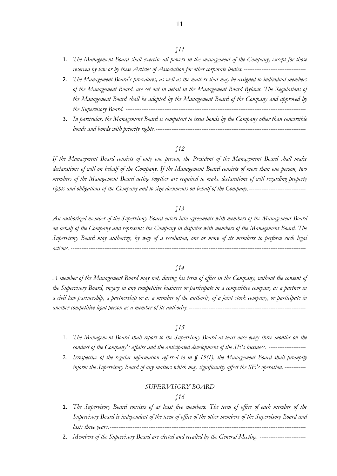11

- 1. *The Management Board shall exercise all powers in the management of the Company, except for those reserved by law or by these Articles of Association for other corporate bodies. -----------------------------------*
- 2. *The Management Board's procedures, as well as the matters that may be assigned to individual members of the Management Board, are set out in detail in the Management Board Bylaws. The Regulations of the Management Board shall be adopted by the Management Board of the Company and approved by the Supervisory Board. ------------------------------------------------------------------------------------------------------*
- 3. *In particular, the Management Board is competent to issue bonds by the Company other than convertible bonds and bonds with priority rights.-------------------------------------------------------------------------------------*

#### *§12*

*If the Management Board consists of only one person, the President of the Management Board shall make declarations of will on behalf of the Company. If the Management Board consists of more than one person, two members of the Management Board acting together are required to make declarations of will regarding property rights and obligations of the Company and to sign documents on behalf of the Company.--------------------------------*

#### *§13*

*An authorized member of the Supervisory Board enters into agreements with members of the Management Board on behalf of the Company and represents the Company in disputes with members of the Management Board. The Supervisory Board may authorize, by way of a resolution, one or more of its members to perform such legal actions. -------------------------------------------------------------------------------------------------------------------------------------*

#### *§14*

*A member of the Management Board may not, during his term of office in the Company, without the consent of the Supervisory Board, engage in any competitive business or participate in a competitive company as a partner in a civil law partnership, a partnership or as a member of the authority of a joint stock company, or participate in another competitive legal person as a member of its authority. ------------------------------------------------------------------*

### *§15*

- 1. *The Management Board shall report to the Supervisory Board at least once every three months on the conduct of the Company's affairs and the anticipated development of the SE's business. ---------------------*
- 2. *Irrespective of the regular information referred to in § 15(1), the Management Board shall promptly inform the Supervisory Board of any matters which may significantly affect the SE's operation. ------------*

#### *SUPERVISORY BOARD*

- 1. *The Supervisory Board consists of at least five members. The term of office of each member of the Supervisory Board is independent of the term of office of the other members of the Supervisory Board and lasts three years.*-
- 2. *Members of the Supervisory Board are elected and recalled by the General Meeting. --------------------------*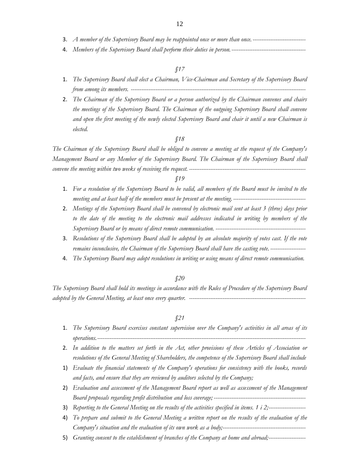- 3. *A member of the Supervisory Board may be reappointed once or more than once.------------------------------*
- 4. *Members of the Supervisory Board shall perform their duties in person.------------------------------------------*

- 1. *The Supervisory Board shall elect a Chairman, Vice-Chairman and Secretary of the Supervisory Board from among its members. ---------------------------------------------------------------------------------------------------*
- 2. *The Chairman of the Supervisory Board or a person authorized by the Chairman convenes and chairs the meetings of the Supervisory Board. The Chairman of the outgoing Supervisory Board shall convene and open the first meeting of the newly elected Supervisory Board and chair it until a new Chairman is elected.*

# *§18*

*The Chairman of the Supervisory Board shall be obliged to convene a meeting at the request of the Company's Management Board or any Member of the Supervisory Board. The Chairman of the Supervisory Board shall convene the meeting within two weeks of receiving the request. ------------------------------------------------------------------*

### *§19*

- 1. *For a resolution of the Supervisory Board to be valid, all members of the Board must be invited to the meeting and at least half of the members must be present at the meeting.-----------------------------------------*
- 2. *Meetings of the Supervisory Board shall be convened by electronic mail sent at least 3 (three) days prior to the date of the meeting to the electronic mail addresses indicated in writing by members of the Supervisory Board or by means of direct remote communication. ---------------------------------------------------*
- 3. *Resolutions of the Supervisory Board shall be adopted by an absolute majority of votes cast. If the vote remains inconclusive, the Chairman of the Supervisory Board shall have the casting vote. --------------------*
- 4. *The Supervisory Board may adopt resolutions in writing or using means of direct remote communication.*

#### *§20*

*The Supervisory Board shall hold its meetings in accordance with the Rules of Procedure of the Supervisory Board adopted by the General Meeting, at least once every quarter. ------------------------------------------------------------------*

- 1. *The Supervisory Board exercises constant supervision over the Company's activities in all areas of its operations.----------------------------------------------------------------------------------------------------------------------*
- 2. *In addition to the matters set forth in the Act, other provisions of these Articles of Association or resolutions of the General Meeting of Shareholders, the competence of the Supervisory Board shall include*
- 1) *Evaluate the financial statements of the Company's operations for consistency with the books, records and facts, and ensure that they are reviewed by auditors selected by the Company;*
- 2) *Evaluation and assessment of the Management Board report as well as assessment of the Management Board proposals regarding profit distribution and loss coverage; ----------------------------------------------------*
- 3) *Reporting to the General Meeting on the results of the activities specified in items. 1 i 2;---------------------*
- 4) *To prepare and submit to the General Meeting a written report on the results of the evaluation of the Company's situation and the evaluation of its own work as a body;-----------------------------------------------*
- 5) *Granting consent to the establishment of branches of the Company at home and abroad;---------------------*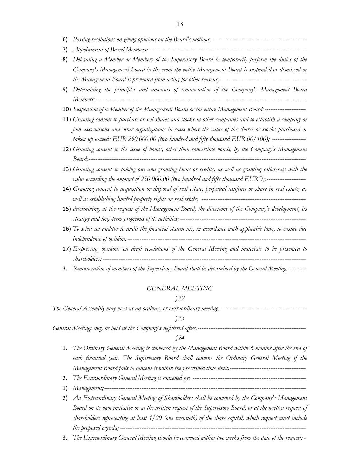- 6) *Passing resolutions on giving opinions on the Board's motions; -----------------------------------------------------*
- 7) *Appointment of Board Members;-----------------------------------------------------------------------------------------*
- 8) *Delegating a Member or Members of the Supervisory Board to temporarily perform the duties of the Company's Management Board in the event the entire Management Board is suspended or dismissed or the Management Board is prevented from acting for other reasons;-------------------------------------------------*
- 9) *Determining the principles and amounts of remuneration of the Company's Management Board Members;-----------------------------------------------------------------------------------------------------------------------*
- 10) *Suspension of a Member of the Management Board or the entire Management Board; -----------------------*
- 11) *Granting consent to purchase or sell shares and stocks in other companies and to establish a company or join associations and other organizations in cases where the value of the shares or stocks purchased or taken up exceeds EUR 250,000.00 (two hundred and fifty thousand EUR 00/100); -------------------*
- 12) *Granting consent to the issue of bonds, other than convertible bonds, by the Company's Management Board;---------------------------------------------------------------------------------------------------------------------------*
- 13) *Granting consent to taking out and granting loans or credits, as well as granting collaterals with the value exceeding the amount of 250,000.00 (two hundred and fifty thousand EURO);----------------------*
- 14) *Granting consent to acquisition or disposal of real estate, perpetual usufruct or share in real estate, as well as establishing limited property rights on real estate; -----------------------------------------------------------*
- 15) *determining, at the request of the Management Board, the directions of the Company's development, its strategy and long-term programs of its activities; -----------------------------------------------------------------------*
- 16) *To select an auditor to audit the financial statements, in accordance with applicable laws, to ensure due independence of opinion;-----------------------------------------------------------------------------------------------------*
- 17) *Expressing opinions on draft resolutions of the General Meeting and materials to be presented to shareholders; -------------------------------------------------------------------------------------------------------------------*
- 3. *Remuneration of members of the Supervisory Board shall be determined by the General Meeting.----------*

#### *GENERAL MEETING*

#### *§22*

*The General Assembly may meet as an ordinary or extraordinary meeting. ------------------------------------------------*

#### *§23*

*General Meetings may be held at the Company's registered office.-------------------------------------------------------------*

- 1. *The Ordinary General Meeting is convened by the Management Board within 6 months after the end of each financial year. The Supervisory Board shall convene the Ordinary General Meeting if the Management Board fails to convene it within the prescribed time limit.-------------------------------------------*
- 2. *The Extraordinary General Meeting is convened by: ----------------------------------------------------------------*
- 1) *Management;------------------------------------------------------------------------------------------------------------------*
- 2) *An Extraordinary General Meeting of Shareholders shall be convened by the Company's Management Board on its own initiative or at the written request of the Supervisory Board, or at the written request of shareholders representing at least 1/20 (one twentieth) of the share capital, which request must include the proposed agenda; ---------------------------------------------------------------------------------------------------------*
- 3. *The Extraordinary General Meeting should be convened within two weeks from the date of the request; -*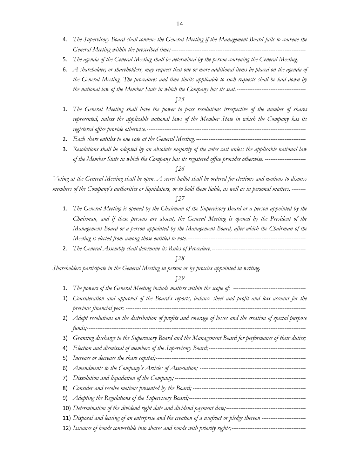- 4. *The Supervisory Board shall convene the General Meeting if the Management Board fails to convene the General Meeting within the prescribed time;----------------------------------------------------------------------------*
- 5. *The agenda of the General Meeting shall be determined by the person convening the General Meeting.----*
- 6. *A shareholder, or shareholders, may request that one or more additional items be placed on the agenda of the General Meeting. The procedures and time limits applicable to such requests shall be laid down by the national law of the Member State in which the Company has its seat.---------------------------------------*

- 1. *The General Meeting shall have the power to pass resolutions irrespective of the number of shares represented, unless the applicable national laws of the Member State in which the Company has its registered office provide otherwise.------------------------------------------------------------------------------------------*
- 2. *Each share entitles to one vote at the General Meeting.--------------------------------------------------------------*
- 3. *Resolutions shall be adopted by an absolute majority of the votes cast unless the applicable national law of the Member State in which the Company has its registered office provides otherwise. -----------------------*

#### *§26*

*Voting at the General Meeting shall be open. A secret ballot shall be ordered for elections and motions to dismiss members of the Company's authorities or liquidators, or to hold them liable, as well as in personal matters. --------*

#### *§27*

- 1. *The General Meeting is opened by the Chairman of the Supervisory Board or a person appointed by the Chairman, and if these persons are absent, the General Meeting is opened by the President of the Management Board or a person appointed by the Management Board, after which the Chairman of the Meeting is elected from among those entitled to vote.-------------------------------------------------------------------*
- 2. *The General Assembly shall determine its Rules of Procedure.-----------------------------------------------------*

### *§28*

*Shareholders participate in the General Meeting in person or by proxies appointed in writing.*

- 1. *The powers of the General Meeting include matters within the scope of: -----------------------------------------*
- 1) *Consideration and approval of the Board's reports, balance sheet and profit and loss account for the previous financial year; ------------------------------------------------------------------------------------------------------*
- 2) *Adopt resolutions on the distribution of profits and coverage of losses and the creation of special purpose funds;----------------------------------------------------------------------------------------------------------------------------*
- 3) *Granting discharge to the Supervisory Board and the Management Board for performance of their duties;*
- 4) *Election and dismissal of members of the Supervisory Board;-------------------------------------------------------*
- 5) *Increase or decrease the share capital;-------------------------------------------------------------------------------------*
- 6) *Amendments to the Company's Articles of Association; ------------------------------------------------------------*
- 7) *Dissolution and liquidation of the Company; --------------------------------------------------------------------------*
- 8) *Consider and resolve motions presented by the Board; ----------------------------------------------------------------*
- 9) *Adopting the Regulations of the Supervisory Board;------------------------------------------------------------------*
- 10) *Determination of the dividend right date and dividend payment date;---------------------------------------------*
- 11) *Disposal and leasing of an enterprise and the creation of a usufruct or pledge thereon -------------------------*
- 12) *Issuance of bonds convertible into shares and bonds with priority rights;------------------------------------------*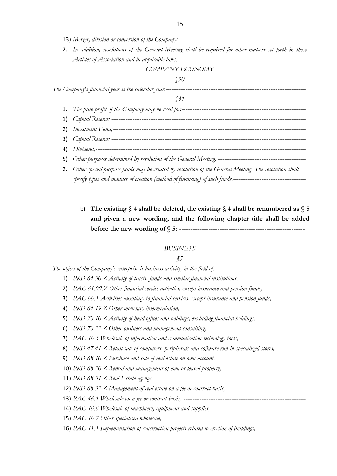|    | 2. In addition, resolutions of the General Meeting shall be required for other matters set forth in these |
|----|-----------------------------------------------------------------------------------------------------------|
|    |                                                                                                           |
|    | COMPANY ECONOMY                                                                                           |
|    | $\int$ 30                                                                                                 |
|    |                                                                                                           |
|    | J 31                                                                                                      |
|    |                                                                                                           |
|    |                                                                                                           |
| 2) |                                                                                                           |
|    |                                                                                                           |

- 4) *Dividend;-----------------------------------------------------------------------------------------------------------------------*
- 5) *Other purposes determined by resolution of the General Meeting.--------------------------------------------------*
- 2. *Other special purpose funds may be created by resolution of the General Meeting. The resolution shall specify types and manner of creation (method of financing) of such funds.----------------------------------------*
	- b) **The existing § 4 shall be deleted, the existing § 4 shall be renumbered as § 5 and given a new wording, and the following chapter title shall be added before the new wording of § 5: --------------------------------------------------------**

# *BUSINESS*

| 2) | PAC 64.99.Z Other financial service activities, except insurance and pension funds, -------------------------           |
|----|-------------------------------------------------------------------------------------------------------------------------|
| 3) | PAC 66.1 Activities auxiliary to financial services, except insurance and pension funds, -------------------            |
| 4) |                                                                                                                         |
| 5) | PKD 70.10.Z Activity of head offices and holdings, excluding financial holdings, ---------------------------            |
| 6) | PKD 70.22.Z Other business and management consulting,                                                                   |
| 7) |                                                                                                                         |
| 8) | PKD 47.41.Z Retail sale of computers, peripherals and software run in specialized stores, -----------------             |
|    |                                                                                                                         |
|    |                                                                                                                         |
|    |                                                                                                                         |
|    |                                                                                                                         |
|    |                                                                                                                         |
|    |                                                                                                                         |
|    |                                                                                                                         |
|    | 16) PAC 41.1 Implementation of construction projects related to erection of buildings, -------------------------------- |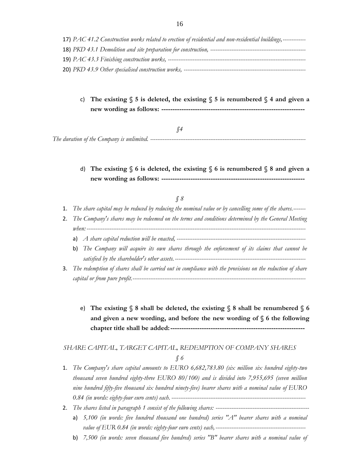| 17) PAC 41.2 Construction works related to erection of residential and non-residential buildings,------------ |
|---------------------------------------------------------------------------------------------------------------|
| 18) PKD 43.1 Demolition and site preparation for construction, -------------------                            |
| 19) PAC 43.3 Finishing construction works, -------------                                                      |
| <b>20)</b> PKD 43.9 Other specialised construction works, --                                                  |

c) **The existing § 5 is deleted, the existing § 5 is renumbered § 4 and given a new wording as follows: ----------------------------------------------------------------**

*§4*

*The duration of the Company is unlimited. ----------------------------------------------------------------------------------------*

# d) **The existing § 6 is deleted, the existing § 6 is renumbered § 8 and given a new wording as follows: ----------------------------------------------------------------**

#### *§ 8*

- 1. *The share capital may be reduced by reducing the nominal value or by cancelling some of the shares.-------*
- 2. *The Company's shares may be redeemed on the terms and conditions determined by the General Meeting when: ---------------------------------------------------------------------------------------------------------------------------*
	- a) *A share capital reduction will be enacted, -------------------------------------------------------------------------*
	- b) *The Company will acquire its own shares through the enforcement of its claims that cannot be satisfied by the shareholder's other assets.--------------------------------------------------------------------------*
- 3. *The redemption of shares shall be carried out in compliance with the provisions on the reduction of share capital or from pure profit.-------------------------------------------------------------------------------------------------*
	- e) **The existing § 8 shall be deleted, the existing § 8 shall be renumbered § 6 and given a new wording, and before the new wording of § 6 the following chapter title shall be added:------------------------------------------------------------**

# *SHARE CAPITAL, TARGET CAPITAL, REDEMPTION OF COMPANY SHARES*

- 1. *The Company's share capital amounts to EURO 6,682,783.80 (six million six hundred eighty-two thousand seven hundred eighty-three EURO 80/100) and is divided into 7,955,695 (seven million nine hundred fifty-five thousand six hundred ninety-five) bearer shares with a nominal value of EURO 0.84 (in words: eighty-four euro cents) each. ----------------------------------------------------------------------------*
- 2. *The shares listed in paragraph 1 consist of the following shares: ----------------------------------------------------*
	- a) *5,100 (in words: five hundred thousand one hundred) series "A" bearer shares with a nominal value of EUR 0.84 (in words: eighty-four euro cents) each,---------------------------------------------------*
	- b) *7,500 (in words: seven thousand five hundred) series "B" bearer shares with a nominal value of*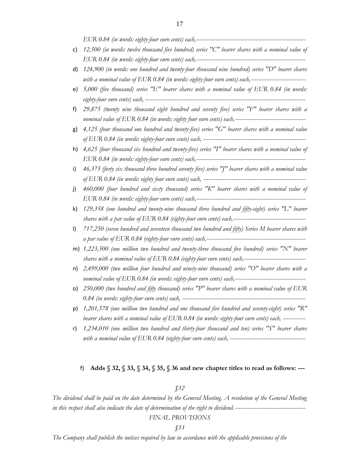| c)  | 12,500 (in words: twelve thousand five hundred) series "C" bearer shares with a nominal value of      |
|-----|-------------------------------------------------------------------------------------------------------|
|     |                                                                                                       |
| d)  | 124,900 (in words: one hundred and twenty-four thousand nine hundred) series "D" bearer shares        |
|     | with a nominal value of EUR 0.84 (in words: eighty-four euro cents) each,---------------------------- |
| e)  | 5,000 (five thousand) series "E" bearer shares with a nominal value of EUR 0.84 (in words:            |
| f)  | 29,875 (twenty nine thousand eight hundred and seventy five) series "F" bearer shares with a          |
|     |                                                                                                       |
| g)  | 4,125 (four thousand one hundred and twenty-five) series " $G$ " bearer shares with a nominal value   |
|     |                                                                                                       |
| h)  | 4,625 (four thousand six hundred and twenty-five) series "I" bearer shares with a nominal value of    |
|     |                                                                                                       |
| i)  | 46,375 (forty six thousand three hundred seventy five) series "J" bearer shares with a nominal value  |
|     |                                                                                                       |
| j)  | 460,000 (four hundred and sixty thousand) series "K" bearer shares with a nominal value of            |
|     |                                                                                                       |
| k)  | 129,358 (one hundred and twenty-nine thousand three hundred and fifty-eight) series "L" bearer        |
|     |                                                                                                       |
| I)  | 717,250 (seven hundred and seventeen thousand two hundred and fifty) Series M bearer shares with      |
|     |                                                                                                       |
|     | m) 1,223,500 (one million two hundred and twenty-three thousand five hundred) series "N" bearer       |
|     |                                                                                                       |
| n)  | 2,499,000 (two million four hundred and ninety-nine thousand) series "O" bearer shares with a         |
|     |                                                                                                       |
| o). | 250,000 (two hundred and fifty thousand) series "P" bearer shares with a nominal value of $EUR$       |
|     |                                                                                                       |
| p)  | 1,201,578 (one million two hundred and one thousand five hundred and seventy-eight) series "R"        |
|     | bearer shares with a nominal value of EUR 0.84 (in words: eighty-four euro cents) each, ------------  |

r) *1,234,010 (one million two hundred and thirty-four thousand and ten) series "S" bearer shares with a nominal value of EUR 0.84 (eighty-four euro cents) each, -------------------------------------------*

#### f) **Adds § 32, § 33, § 34, § 35, § 36 and new chapter titles to read as follows: ---**

# *§32*

*The dividend shall be paid on the date determined by the General Meeting. A resolution of the General Meeting in this respect shall also indicate the date of determination of the right to dividend.---------------------------------------- FINAL PROVISIONS*

#### *§33*

*The Company shall publish the notices required by law in accordance with the applicable provisions of the*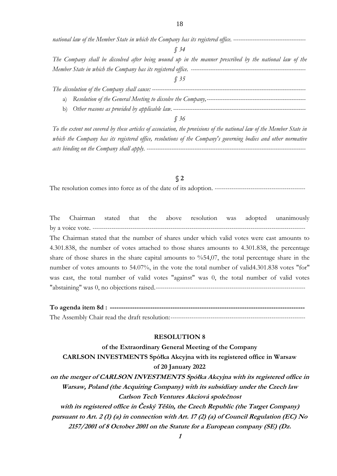*national law of the Member State in which the Company has its registered office. -----------------------------------------*

*§ 34*

*The Company shall be dissolved after being wound up in the manner prescribed by the national law of the Member State in which the Company has its registered office. -----------------------------------------------------------------*

*§ 35*

*The dissolution of the Company shall cause: --------------------------------------------------------------------------------------* a) *Resolution of the General Meeting to dissolve the Company,--------------------------------------------------------*

b) *Other reasons as provided by applicable law. ---------------------------------------------------------------------------*

*§ 36*

*To the extent not covered by these articles of association, the provisions of the national law of the Member State in*  which the Company has its registered office, resolutions of the Company's governing bodies and other normative *acts binding on the Company shall apply. ------------------------------------------------------------------------------------------*

### **§ 2**

The resolution comes into force as of the date of its adoption. -------------------------------------------

The Chairman stated that the above resolution was adopted unanimously by a voice vote. ----------------------------------------------------------------------------------------------------- The Chairman stated that the number of shares under which valid votes were cast amounts to 4.301.838, the number of votes attached to those shares amounts to 4.301.838, the percentage share of those shares in the share capital amounts to %54,07, the total percentage share in the number of votes amounts to 54.07%, in the vote the total number of valid4.301.838 votes "for" was cast, the total number of valid votes "against" was 0, the total number of valid votes "abstaining" was 0, no objections raised.-----------------------------------------------------------------------

**To agenda item 8d : ---------------------------------------------------------------------------------------** The Assembly Chair read the draft resolution:----------------------------------------------------------------

## **RESOLUTION 8**

**of the Extraordinary General Meeting of the Company CARLSON INVESTMENTS Spółka Akcyjna with its registered office in Warsaw of 20 January 2022 on the merger of CARLSON INVESTMENTS Spółka Akcyjna with its registered office in Warsaw, Poland (the Acquiring Company) with its subsidiary under the Czech law Carlson Tech Ventures Akciová společnost with its registered office in Český Těšín, the Czech Republic (the Target Company) pursuant to Art. 2 (1) (a) in connection with Art. 17 (2) (a) of Council Regulation (EC) No 2157/2001 of 8 October 2001 on the Statute for a European company (SE) (Dz.** 

**1**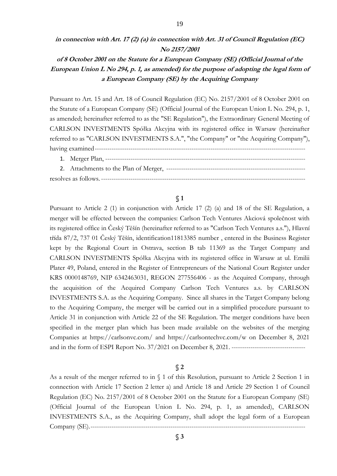# **in connection with Art. 17 (2) (a) in connection with Art. 31 of Council Regulation (EC) No 2157/2001**

# **of 8 October 2001 on the Statute for a European Company (SE) (Official Journal of the European Union L No 294, p. 1, as amended) for the purpose of adopting the legal form of a European Company (SE) by the Acquiring Company**

Pursuant to Art. 15 and Art. 18 of Council Regulation (EC) No. 2157/2001 of 8 October 2001 on the Statute of a European Company (SE) (Official Journal of the European Union L No. 294, p. 1, as amended; hereinafter referred to as the "SE Regulation"), the Extraordinary General Meeting of CARLSON INVESTMENTS Spółka Akcyjna with its registered office in Warsaw (hereinafter referred to as "CARLSON INVESTMENTS S.A.", "the Company" or "the Acquiring Company"), having examined----------------------------------------------------------------------------------------------------

1. Merger Plan, ----------------------------------------------------------------------------------------------- 2. Attachments to the Plan of Merger, ----------------------------------------------------------------- resolves as follows.-------------------------------------------------------------------------------------------------

## **§ 1**

Pursuant to Article 2 (1) in conjunction with Article 17 (2) (a) and 18 of the SE Regulation, a merger will be effected between the companies: Carlson Tech Ventures Akciová společnost with its registered office in Český Těšín (hereinafter referred to as "Carlson Tech Ventures a.s."), Hlavní třída 87/2, 737 01 Český Těšín, identification11813385 number , entered in the Business Register kept by the Regional Court in Ostrava, section B tab 11369 as the Target Company and CARLSON INVESTMENTS Spółka Akcyjna with its registered office in Warsaw at ul. Emilii Plater 49, Poland, entered in the Register of Entrepreneurs of the National Court Register under KRS 0000148769, NIP 6342463031, REGON 277556406 - as the Acquired Company, through the acquisition of the Acquired Company Carlson Tech Ventures a.s. by CARLSON INVESTMENTS S.A. as the Acquiring Company. Since all shares in the Target Company belong to the Acquiring Company, the merger will be carried out in a simplified procedure pursuant to Article 31 in conjunction with Article 22 of the SE Regulation. The merger conditions have been specified in the merger plan which has been made available on the websites of the merging Companies at https://carlsonvc.com/ and https://carlsontechvc.com/w on December 8, 2021 and in the form of ESPI Report No. 37/2021 on December 8, 2021. -----------------------------------

### **§ 2**

As a result of the merger referred to in § 1 of this Resolution, pursuant to Article 2 Section 1 in connection with Article 17 Section 2 letter a) and Article 18 and Article 29 Section 1 of Council Regulation (EC) No. 2157/2001 of 8 October 2001 on the Statute for a European Company (SE) (Official Journal of the European Union L No. 294, p. 1, as amended), CARLSON INVESTMENTS S.A., as the Acquiring Company, shall adopt the legal form of a European Company (SE).------------------------------------------------------------------------------------------------------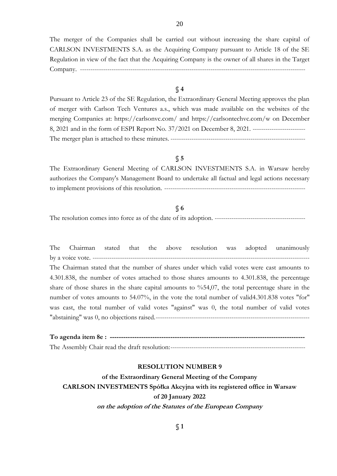The merger of the Companies shall be carried out without increasing the share capital of CARLSON INVESTMENTS S.A. as the Acquiring Company pursuant to Article 18 of the SE Regulation in view of the fact that the Acquiring Company is the owner of all shares in the Target Company. -----------------------------------------------------------------------------------------------------------

# **§ 4**

Pursuant to Article 23 of the SE Regulation, the Extraordinary General Meeting approves the plan of merger with Carlson Tech Ventures a.s., which was made available on the websites of the merging Companies at: https://carlsonvc.com/ and https://carlsontechvc.com/w on December 8, 2021 and in the form of ESPI Report No. 37/2021 on December 8, 2021. ------------------------- The merger plan is attached to these minutes. ----------------------------------------------------------------

# **§ 5**

The Extraordinary General Meeting of CARLSON INVESTMENTS S.A. in Warsaw hereby authorizes the Company's Management Board to undertake all factual and legal actions necessary to implement provisions of this resolution. -------------------------------------------------------------------

# **§ 6**

The resolution comes into force as of the date of its adoption. -------------------------------------------

The Chairman stated that the above resolution was adopted unanimously by a voice vote. ---------The Chairman stated that the number of shares under which valid votes were cast amounts to 4.301.838, the number of votes attached to those shares amounts to 4.301.838, the percentage share of those shares in the share capital amounts to %54,07, the total percentage share in the number of votes amounts to 54.07%, in the vote the total number of valid4.301.838 votes "for" was cast, the total number of valid votes "against" was 0, the total number of valid votes "abstaining" was 0, no objections raised.-------------------------------------------------------------------------

# **To agenda item 8e : ---------------------------------------------------------------------------------------** The Assembly Chair read the draft resolution:----------------------------------------------------------------

## **RESOLUTION NUMBER 9**

**of the Extraordinary General Meeting of the Company CARLSON INVESTMENTS Spółka Akcyjna with its registered office in Warsaw of 20 January 2022 on the adoption of the Statutes of the European Company**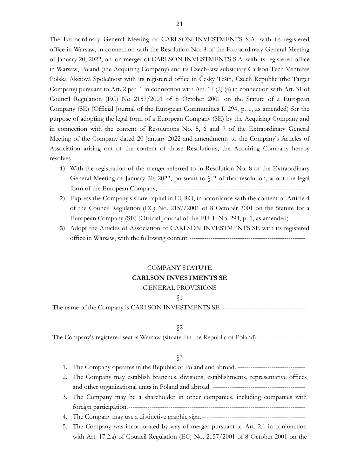The Extraordinary General Meeting of CARLSON INVESTMENTS S.A. with its registered office in Warsaw, in connection with the Resolution No. 8 of the Extraordinary General Meeting of January 20, 2022, on: on merger of CARLSON INVESTMENTS S.A. with its registered office in Warsaw, Poland (the Acquiring Company) and its Czech-law subsidiary Carlson Tech Ventures Polska Akciová Společnost with its registered office in Český Těšín, Czech Republic (the Target Company) pursuant to Art. 2 par. 1 in connection with Art. 17 (2) (a) in connection with Art. 31 of Council Regulation (EC) No 2157/2001 of 8 October 2001 on the Statute of a European Company (SE) (Official Journal of the European Communities L 294, p. 1, as amended) for the purpose of adopting the legal form of a European Company (SE) by the Acquiring Company and in connection with the content of Resolutions No. 5, 6 and 7 of the Extraordinary General Meeting of the Company dated 20 January 2022 and amendments to the Company's Articles of Association arising out of the content of those Resolutions, the Acquiring Company hereby resolves---------------------------------------------------------------------------------------------------------------

- 1) With the registration of the merger referred to in Resolution No. 8 of the Extraordinary General Meeting of January 20, 2022, pursuant to § 2 of that resolution, adopt the legal form of the European Company,----------------------------------------------------------------------
- 2) Express the Company's share capital in EURO, in accordance with the content of Article 4 of the Council Regulation (EC) No. 2157/2001 of 8 October 2001 on the Statute for a European Company (SE) (Official Journal of the EU. L No. 294, p. 1, as amended) -------
- 3) Adopt the Articles of Association of CARLSON INVESTMENTS SE with its registered office in Warsaw, with the following content:-------------------------------------------------------

# COMPANY STATUTE **CARLSON INVESTMENTS SE**

#### GENERAL PROVISIONS

#### §1

The name of the Company is CARLSON INVESTMENTS SE. ---------------------------------------

#### §2

The Company's registered seat is Warsaw (situated in the Republic of Poland). ----------------------

|  |  |  |  |  | 1. The Company operates in the Republic of Poland and abroad. |  |  |  |  |  |  |  |  |  |  |  |  |  |
|--|--|--|--|--|---------------------------------------------------------------|--|--|--|--|--|--|--|--|--|--|--|--|--|
|--|--|--|--|--|---------------------------------------------------------------|--|--|--|--|--|--|--|--|--|--|--|--|--|

- 2. The Company may establish branches, divisions, establishments, representative offices and other organizational units in Poland and abroad. --------------------------------------------
- 3. The Company may be a shareholder in other companies, including companies with foreign participation.------------------------------------------------------------------------------------
- 4. The Company may use a distinctive graphic sign.-------------------------------------------------
- 5. The Company was incorporated by way of merger pursuant to Art. 2.1 in conjunction with Art. 17.2.a) of Council Regulation (EC) No. 2157/2001 of 8 October 2001 on the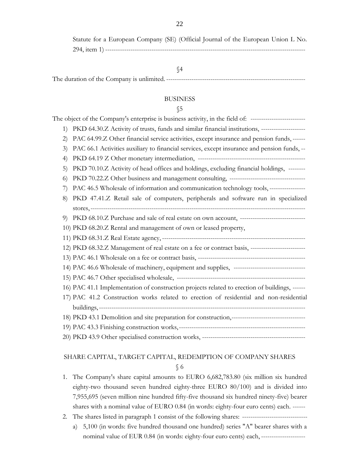Statute for a European Company (SE) (Official Journal of the European Union L No. 294, item 1) -----------------------------------------------------------------------------------------------

# §4

# The duration of the Company is unlimited. ------------------------------------------------------------------

#### **BUSINESS**

### §5

|                  | The object of the Company's enterprise is business activity, in the field of: -------------------------- |
|------------------|----------------------------------------------------------------------------------------------------------|
| 1)               | PKD 64.30.Z Activity of trusts, funds and similar financial institutions, ---------------------          |
| (2)              | PAC 64.99.Z Other financial service activities, except insurance and pension funds, ------               |
| 3)               | PAC 66.1 Activities auxiliary to financial services, except insurance and pension funds, --              |
| $\left(4\right)$ |                                                                                                          |
| 5)               | PKD 70.10.Z Activity of head offices and holdings, excluding financial holdings, --------                |
| $\left($         |                                                                                                          |
| 7)               | PAC 46.5 Wholesale of information and communication technology tools, -----------------                  |
| 8)               | PKD 47.41.Z Retail sale of computers, peripherals and software run in specialized                        |
|                  |                                                                                                          |
| 9)               | PKD 68.10.Z Purchase and sale of real estate on own account, --------------------------------            |
|                  | 10) PKD 68.20.Z Rental and management of own or leased property,                                         |
|                  |                                                                                                          |
|                  | 12) PKD 68.32.Z Management of real estate on a fee or contract basis, ----------------------------       |
|                  |                                                                                                          |
|                  | 14) PAC 46.6 Wholesale of machinery, equipment and supplies, ---------------------------------           |
|                  |                                                                                                          |
|                  | 16) PAC 41.1 Implementation of construction projects related to erection of buildings, ------            |
|                  | 17) PAC 41.2 Construction works related to erection of residential and non-residential                   |
|                  |                                                                                                          |
|                  |                                                                                                          |
|                  |                                                                                                          |
|                  |                                                                                                          |

### SHARE CAPITAL, TARGET CAPITAL, REDEMPTION OF COMPANY SHARES

- 1. The Company's share capital amounts to EURO 6,682,783.80 (six million six hundred eighty-two thousand seven hundred eighty-three EURO 80/100) and is divided into 7,955,695 (seven million nine hundred fifty-five thousand six hundred ninety-five) bearer shares with a nominal value of EURO 0.84 (in words: eighty-four euro cents) each. ------
- 2. The shares listed in paragraph 1 consist of the following shares: ------------------------------
	- a) 5,100 (in words: five hundred thousand one hundred) series "A" bearer shares with a nominal value of EUR 0.84 (in words: eighty-four euro cents) each, ---------------------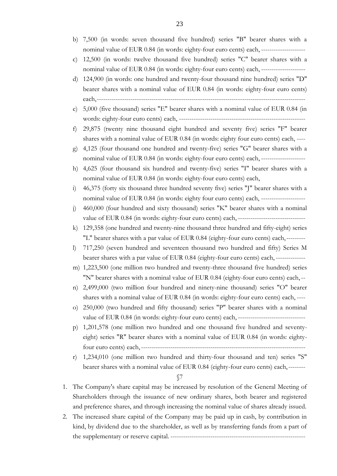- b) 7,500 (in words: seven thousand five hundred) series "B" bearer shares with a nominal value of EUR 0.84 (in words: eighty-four euro cents) each, ---------------------
- c) 12,500 (in words: twelve thousand five hundred) series "C" bearer shares with a nominal value of EUR 0.84 (in words: eighty-four euro cents) each, ---------------------
- d) 124,900 (in words: one hundred and twenty-four thousand nine hundred) series "D" bearer shares with a nominal value of EUR 0.84 (in words: eighty-four euro cents) each,---------------------------------------------------------------------------------------------------
- e) 5,000 (five thousand) series "E" bearer shares with a nominal value of EUR 0.84 (in words: eighty-four euro cents) each, ------------------------------------------------------------
- f) 29,875 (twenty nine thousand eight hundred and seventy five) series "F" bearer shares with a nominal value of EUR 0.84 (in words: eighty four euro cents) each, ----
- g) 4,125 (four thousand one hundred and twenty-five) series "G" bearer shares with a nominal value of EUR 0.84 (in words: eighty-four euro cents) each, ---------------------
- h) 4,625 (four thousand six hundred and twenty-five) series "I" bearer shares with a nominal value of EUR 0.84 (in words: eighty-four euro cents) each,
- i) 46,375 (forty six thousand three hundred seventy five) series "J" bearer shares with a nominal value of EUR 0.84 (in words: eighty four euro cents) each, ---------------------
- j) 460,000 (four hundred and sixty thousand) series "K" bearer shares with a nominal value of EUR 0.84 (in words: eighty-four euro cents) each, --------------------------------
- k) 129,358 (one hundred and twenty-nine thousand three hundred and fifty-eight) series "L" bearer shares with a par value of EUR 0.84 (eighty-four euro cents) each,---------
- l) 717,250 (seven hundred and seventeen thousand two hundred and fifty) Series M bearer shares with a par value of EUR 0.84 (eighty-four euro cents) each, --------------
- m) 1,223,500 (one million two hundred and twenty-three thousand five hundred) series "N" bearer shares with a nominal value of EUR 0.84 (eighty-four euro cents) each,--
- n) 2,499,000 (two million four hundred and ninety-nine thousand) series "O" bearer shares with a nominal value of EUR 0.84 (in words: eighty-four euro cents) each, ----
- o) 250,000 (two hundred and fifty thousand) series "P" bearer shares with a nominal value of EUR 0.84 (in words: eighty-four euro cents) each, --------------------------------
- p) 1,201,578 (one million two hundred and one thousand five hundred and seventyeight) series "R" bearer shares with a nominal value of EUR 0.84 (in words: eightyfour euro cents) each,------------------------------------------------------------------------------
- r) 1,234,010 (one million two hundred and thirty-four thousand and ten) series "S" bearer shares with a nominal value of EUR 0.84 (eighty-four euro cents) each,--------

- 1. The Company's share capital may be increased by resolution of the General Meeting of Shareholders through the issuance of new ordinary shares, both bearer and registered and preference shares, and through increasing the nominal value of shares already issued.
- 2. The increased share capital of the Company may be paid up in cash, by contribution in kind, by dividend due to the shareholder, as well as by transferring funds from a part of the supplementary or reserve capital. ----------------------------------------------------------------

<sup>§7</sup>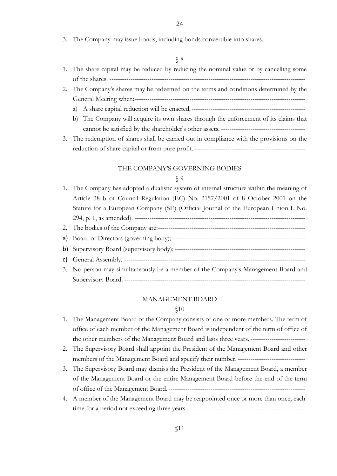3. The Company may issue bonds, including bonds convertible into shares. -------------------

#### § 8

- 1. The share capital may be reduced by reducing the nominal value or by cancelling some of the shares. ---------------------------------------------------------------------------------------------
- 2. The Company's shares may be redeemed on the terms and conditions determined by the General Meeting when:--------------------------------------------------------------------------------
	- a) A share capital reduction will be enacted,------------------------------------------------------
	- b) The Company will acquire its own shares through the enforcement of its claims that cannot be satisfied by the shareholder's other assets. ----------------------------------------
- 3. The redemption of shares shall be carried out in compliance with the provisions on the reduction of share capital or from pure profit.-----------------------------------------------------

#### THE COMPANY'S GOVERNING BODIES

#### § 9

1. The Company has adopted a dualistic system of internal structure within the meaning of Article 38 b of Council Regulation (EC) No. 2157/2001 of 8 October 2001 on the Statute for a European Company (SE) (Official Journal of the European Union L No. 294, p. 1, as amended). --------------------------------------------------------------------------------- 2. The bodies of the Company are:--------------------------------------------------------------------- a) Board of Directors (governing body); -------------------------------------------------------------- b) Supervisory Board (supervisory body); ------------------------------------------------------------- c) General Assembly. -------------------------------------------------------------------------------------- 3. No person may simultaneously be a member of the Company's Management Board and Supervisory Board. --------------------------------------------------------------------------------------

#### MANAGEMENT BOARD

- 1. The Management Board of the Company consists of one or more members. The term of office of each member of the Management Board is independent of the term of office of the other members of the Management Board and lasts three years. --------------------------
- 2. The Supervisory Board shall appoint the President of the Management Board and other members of the Management Board and specify their number. --------------------------------
- 3. The Supervisory Board may dismiss the President of the Management Board, a member of the Management Board or the entire Management Board before the end of the term of office of the Management Board.-----------------------------------------------------------------
- 4. A member of the Management Board may be reappointed once or more than once, each time for a period not exceeding three years.--------------------------------------------------------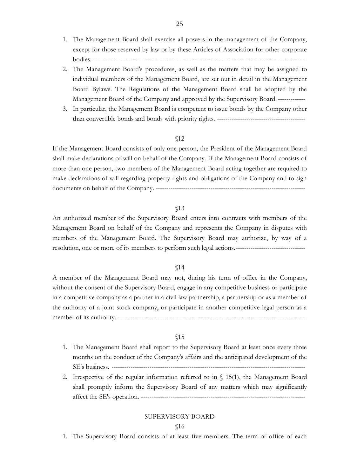- 1. The Management Board shall exercise all powers in the management of the Company, except for those reserved by law or by these Articles of Association for other corporate bodies. -----------------------------------------------------------------------------------------------------
- 2. The Management Board's procedures, as well as the matters that may be assigned to individual members of the Management Board, are set out in detail in the Management Board Bylaws. The Regulations of the Management Board shall be adopted by the Management Board of the Company and approved by the Supervisory Board. -------------
- 3. In particular, the Management Board is competent to issue bonds by the Company other than convertible bonds and bonds with priority rights. ------------------------------------------

If the Management Board consists of only one person, the President of the Management Board shall make declarations of will on behalf of the Company. If the Management Board consists of more than one person, two members of the Management Board acting together are required to make declarations of will regarding property rights and obligations of the Company and to sign documents on behalf of the Company. -----------------------------------------------------------------------

#### §13

An authorized member of the Supervisory Board enters into contracts with members of the Management Board on behalf of the Company and represents the Company in disputes with members of the Management Board. The Supervisory Board may authorize, by way of a resolution, one or more of its members to perform such legal actions.---------------------------------

#### §14

A member of the Management Board may not, during his term of office in the Company, without the consent of the Supervisory Board, engage in any competitive business or participate in a competitive company as a partner in a civil law partnership, a partnership or as a member of the authority of a joint stock company, or participate in another competitive legal person as a member of its authority. -----------------------------------------------------------------------------------------

#### §15

- 1. The Management Board shall report to the Supervisory Board at least once every three months on the conduct of the Company's affairs and the anticipated development of the SE's business. --------------------------------------------------------------------------------------------
- 2. Irrespective of the regular information referred to in  $\S$  15(1), the Management Board shall promptly inform the Supervisory Board of any matters which may significantly affect the SE's operation. ------------------------------------------------------------------------------

#### SUPERVISORY BOARD

#### §16

1. The Supervisory Board consists of at least five members. The term of office of each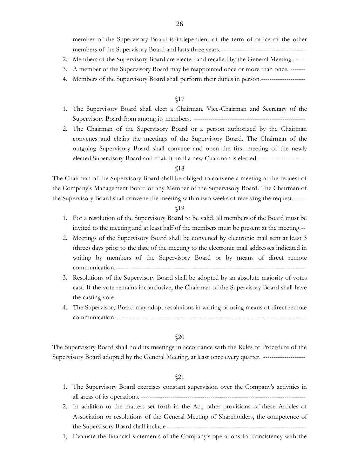member of the Supervisory Board is independent of the term of office of the other members of the Supervisory Board and lasts three years.----------------------------------------

- 2. Members of the Supervisory Board are elected and recalled by the General Meeting. -----
- 3. A member of the Supervisory Board may be reappointed once or more than once. -------
- 4. Members of the Supervisory Board shall perform their duties in person.---------------------

#### §17

- 1. The Supervisory Board shall elect a Chairman, Vice-Chairman and Secretary of the Supervisory Board from among its members. -----------------------------------------------------
- 2. The Chairman of the Supervisory Board or a person authorized by the Chairman convenes and chairs the meetings of the Supervisory Board. The Chairman of the outgoing Supervisory Board shall convene and open the first meeting of the newly elected Supervisory Board and chair it until a new Chairman is elected. ----------------------

#### §18

The Chairman of the Supervisory Board shall be obliged to convene a meeting at the request of the Company's Management Board or any Member of the Supervisory Board. The Chairman of the Supervisory Board shall convene the meeting within two weeks of receiving the request. -----

#### §19

- 1. For a resolution of the Supervisory Board to be valid, all members of the Board must be invited to the meeting and at least half of the members must be present at the meeting.--
- 2. Meetings of the Supervisory Board shall be convened by electronic mail sent at least 3 (three) days prior to the date of the meeting to the electronic mail addresses indicated in writing by members of the Supervisory Board or by means of direct remote communication.------------------------------------------------------------------------------------------
- 3. Resolutions of the Supervisory Board shall be adopted by an absolute majority of votes cast. If the vote remains inconclusive, the Chairman of the Supervisory Board shall have the casting vote.
- 4. The Supervisory Board may adopt resolutions in writing or using means of direct remote communication.------------------------------------------------------------------------------------------

#### §20

The Supervisory Board shall hold its meetings in accordance with the Rules of Procedure of the Supervisory Board adopted by the General Meeting, at least once every quarter. --------------------

- 1. The Supervisory Board exercises constant supervision over the Company's activities in all areas of its operations. ------------------------------------------------------------------------------
- 2. In addition to the matters set forth in the Act, other provisions of these Articles of Association or resolutions of the General Meeting of Shareholders, the competence of the Supervisory Board shall include------------------------------------------------------------------
- 1) Evaluate the financial statements of the Company's operations for consistency with the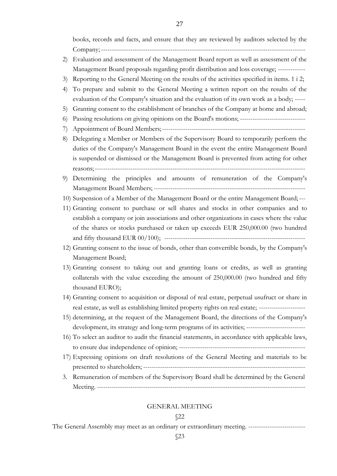books, records and facts, and ensure that they are reviewed by auditors selected by the Company; -------------------------------------------------------------------------------------------------

- 2) Evaluation and assessment of the Management Board report as well as assessment of the Management Board proposals regarding profit distribution and loss coverage; -------------
- 3) Reporting to the General Meeting on the results of the activities specified in items. 1 i 2;
- 4) To prepare and submit to the General Meeting a written report on the results of the evaluation of the Company's situation and the evaluation of its own work as a body; -----
- 5) Granting consent to the establishment of branches of the Company at home and abroad;
- 6) Passing resolutions on giving opinions on the Board's motions; -------------------------------
- 7) Appointment of Board Members;--------------------------------------------------------------------
- 8) Delegating a Member or Members of the Supervisory Board to temporarily perform the duties of the Company's Management Board in the event the entire Management Board is suspended or dismissed or the Management Board is prevented from acting for other reasons;----------------------------------------------------------------------------------------------------
- 9) Determining the principles and amounts of remuneration of the Company's Management Board Members; ------------------------------------------------------------------------
- 10) Suspension of a Member of the Management Board or the entire Management Board;---
- 11) Granting consent to purchase or sell shares and stocks in other companies and to establish a company or join associations and other organizations in cases where the value of the shares or stocks purchased or taken up exceeds EUR 250,000.00 (two hundred and fifty thousand EUR 00/100); -------------------------------------------------------------------
- 12) Granting consent to the issue of bonds, other than convertible bonds, by the Company's Management Board;
- 13) Granting consent to taking out and granting loans or credits, as well as granting collaterals with the value exceeding the amount of 250,000.00 (two hundred and fifty thousand EURO);
- 14) Granting consent to acquisition or disposal of real estate, perpetual usufruct or share in real estate, as well as establishing limited property rights on real estate; ----------------------
- 15) determining, at the request of the Management Board, the directions of the Company's development, its strategy and long-term programs of its activities; -------------------------------
- 16) To select an auditor to audit the financial statements, in accordance with applicable laws, to ensure due independence of opinion; ------------------------------------------------------------
- 17) Expressing opinions on draft resolutions of the General Meeting and materials to be presented to shareholders; -----------------------------------------------------------------------------
- 3. Remuneration of members of the Supervisory Board shall be determined by the General Meeting. ---------------------------------------------------------------------------------------------------

#### GENERAL MEETING

#### §22

The General Assembly may meet as an ordinary or extraordinary meeting. ---------------------------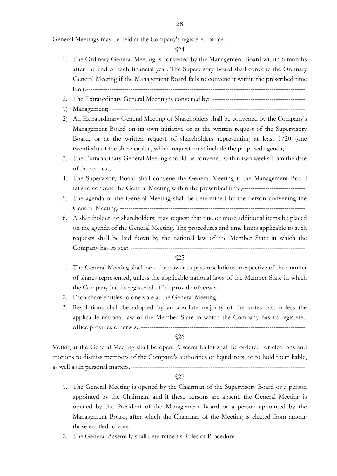General Meetings may be held at the Company's registered office.--------------------------------------

§24

- 1. The Ordinary General Meeting is convened by the Management Board within 6 months after the end of each financial year. The Supervisory Board shall convene the Ordinary General Meeting if the Management Board fails to convene it within the prescribed time limit.--------------------------------------------------------------------------------------------------------
- 2. The Extraordinary General Meeting is convened by: --------------------------------------------
- 1) Management; ---------------------------------------------------------------------------------------------
- 2) An Extraordinary General Meeting of Shareholders shall be convened by the Company's Management Board on its own initiative or at the written request of the Supervisory Board, or at the written request of shareholders representing at least 1/20 (one twentieth) of the share capital, which request must include the proposed agenda;----------
- 3. The Extraordinary General Meeting should be convened within two weeks from the date of the request;--------------------------------------------------------------------------------------------
- 4. The Supervisory Board shall convene the General Meeting if the Management Board fails to convene the General Meeting within the prescribed time;------------------------------
- 5. The agenda of the General Meeting shall be determined by the person convening the General Meeting. ----------------------------------------------------------------------------------------
- 6. A shareholder, or shareholders, may request that one or more additional items be placed on the agenda of the General Meeting. The procedures and time limits applicable to such requests shall be laid down by the national law of the Member State in which the Company has its seat.-----------------------------------------------------------------------------------

§25

- 1. The General Meeting shall have the power to pass resolutions irrespective of the number of shares represented, unless the applicable national laws of the Member State in which the Company has its registered office provide otherwise.----------------------------------------
- 2. Each share entitles to one vote at the General Meeting. -----------------------------------------
- 3. Resolutions shall be adopted by an absolute majority of the votes cast unless the applicable national law of the Member State in which the Company has its registered office provides otherwise.------------------------------------------------------------------------------

§26

Voting at the General Meeting shall be open. A secret ballot shall be ordered for elections and motions to dismiss members of the Company's authorities or liquidators, or to hold them liable, as well as in personal matters.-----------------------------------------------------------------------------------

- 1. The General Meeting is opened by the Chairman of the Supervisory Board or a person appointed by the Chairman, and if these persons are absent, the General Meeting is opened by the President of the Management Board or a person appointed by the Management Board, after which the Chairman of the Meeting is elected from among those entitled to vote.-----------------------------------------------------------------------------------
- 2. The General Assembly shall determine its Rules of Procedure. --------------------------------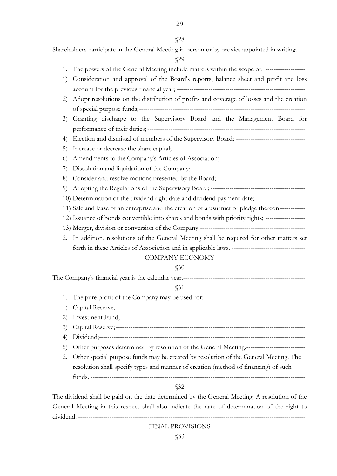29

#### §28

Shareholders participate in the General Meeting in person or by proxies appointed in writing. ---

§29

- 1. The powers of the General Meeting include matters within the scope of: -------------------
- 1) Consideration and approval of the Board's reports, balance sheet and profit and loss account for the previous financial year; -------------------------------------------------------------
- 2) Adopt resolutions on the distribution of profits and coverage of losses and the creation of special purpose funds;-------------------------------------------------------------------------------
- 3) Granting discharge to the Supervisory Board and the Management Board for performance of their duties; ---------------------------------------------------------------------------
- 4) Election and dismissal of members of the Supervisory Board; ---------------------------------
- 5) Increase or decrease the share capital; --------------------------------------------------------------- 6) Amendments to the Company's Articles of Association; ----------------------------------------
- 7) Dissolution and liquidation of the Company; ------------------------------------------------------
- 8) Consider and resolve motions presented by the Board;------------------------------------------
- 9) Adopting the Regulations of the Supervisory Board; ---------------------------------------------
- 10) Determination of the dividend right date and dividend payment date;------------------------
- 11) Sale and lease of an enterprise and the creation of a usufruct or pledge thereon ------------
- 12) Issuance of bonds convertible into shares and bonds with priority rights; -------------------
- 13) Merger, division or conversion of the Company;--------------------------------------------------
- 2. In addition, resolutions of the General Meeting shall be required for other matters set forth in these Articles of Association and in applicable laws. -----------------------------------

# COMPANY ECONOMY

# §30

The Company's financial year is the calendar year.----------------------------------------------------------

# §31

1. The pure profit of the Company may be used for:------------------------------------------------ 1) Capital Reserve;------------------------------------------------------------------------------------------ 2) Investment Fund;---------------------------------------------------------------------------------------- 3) Capital Reserve;------------------------------------------------------------------------------------------ 4) Dividend;-------------------------------------------------------------------------------------------------- 5) Other purposes determined by resolution of the General Meeting.---------------------------- 2. Other special purpose funds may be created by resolution of the General Meeting. The resolution shall specify types and manner of creation (method of financing) of such funds. ------------------------------------------------------------------------------------------------------

# §32

The dividend shall be paid on the date determined by the General Meeting. A resolution of the General Meeting in this respect shall also indicate the date of determination of the right to dividend. ---------------------

# FINAL PROVISIONS